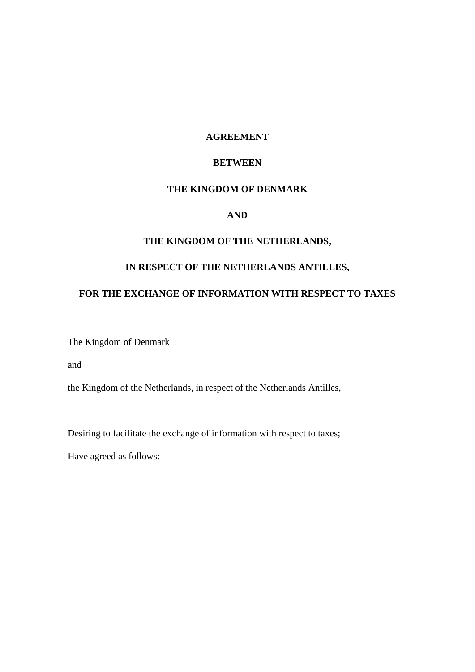# **AGREEMENT**

# **BETWEEN**

# **THE KINGDOM OF DENMARK**

# **AND**

# **THE KINGDOM OF THE NETHERLANDS,**

# **IN RESPECT OF THE NETHERLANDS ANTILLES,**

# **FOR THE EXCHANGE OF INFORMATION WITH RESPECT TO TAXES**

The Kingdom of Denmark

and

the Kingdom of the Netherlands, in respect of the Netherlands Antilles,

Desiring to facilitate the exchange of information with respect to taxes;

Have agreed as follows: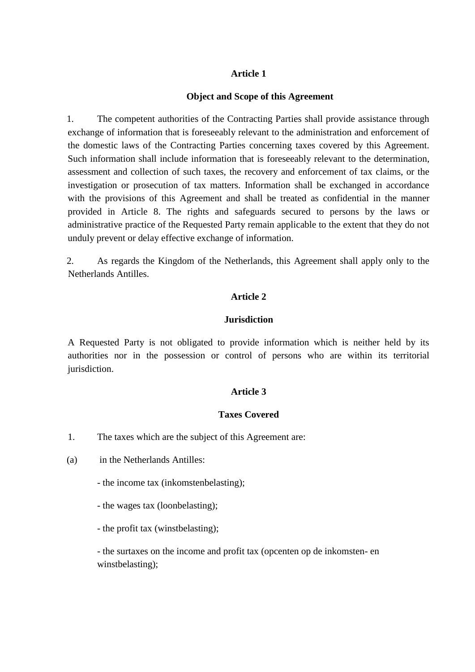#### **Article 1**

#### **Object and Scope of this Agreement**

1. The competent authorities of the Contracting Parties shall provide assistance through exchange of information that is foreseeably relevant to the administration and enforcement of the domestic laws of the Contracting Parties concerning taxes covered by this Agreement. Such information shall include information that is foreseeably relevant to the determination, assessment and collection of such taxes, the recovery and enforcement of tax claims, or the investigation or prosecution of tax matters. Information shall be exchanged in accordance with the provisions of this Agreement and shall be treated as confidential in the manner provided in Article 8. The rights and safeguards secured to persons by the laws or administrative practice of the Requested Party remain applicable to the extent that they do not unduly prevent or delay effective exchange of information.

2. As regards the Kingdom of the Netherlands, this Agreement shall apply only to the Netherlands Antilles.

#### **Article 2**

#### **Jurisdiction**

A Requested Party is not obligated to provide information which is neither held by its authorities nor in the possession or control of persons who are within its territorial jurisdiction.

#### **Article 3**

#### **Taxes Covered**

1. The taxes which are the subject of this Agreement are:

(a) in the Netherlands Antilles:

- the income tax (inkomstenbelasting);
- the wages tax (loonbelasting);
- the profit tax (winstbelasting);

- the surtaxes on the income and profit tax (opcenten op de inkomsten- en winstbelasting);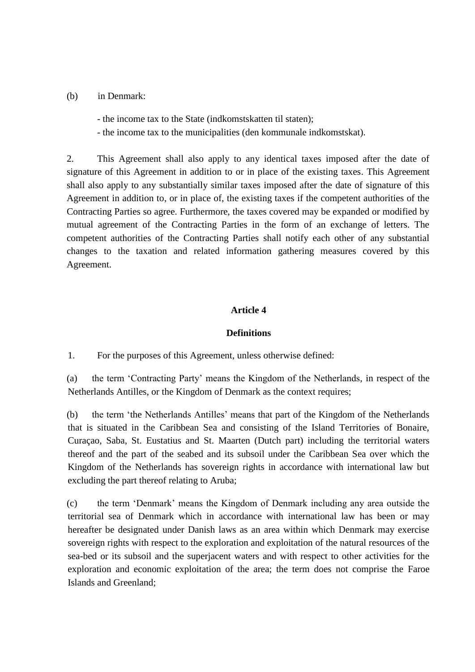(b) in Denmark:

- the income tax to the State (indkomstskatten til staten);

- the income tax to the municipalities (den kommunale indkomstskat).

2. This Agreement shall also apply to any identical taxes imposed after the date of signature of this Agreement in addition to or in place of the existing taxes. This Agreement shall also apply to any substantially similar taxes imposed after the date of signature of this Agreement in addition to, or in place of, the existing taxes if the competent authorities of the Contracting Parties so agree. Furthermore, the taxes covered may be expanded or modified by mutual agreement of the Contracting Parties in the form of an exchange of letters. The competent authorities of the Contracting Parties shall notify each other of any substantial changes to the taxation and related information gathering measures covered by this Agreement.

# **Article 4**

# **Definitions**

1. For the purposes of this Agreement, unless otherwise defined:

(a) the term 'Contracting Party' means the Kingdom of the Netherlands, in respect of the Netherlands Antilles, or the Kingdom of Denmark as the context requires;

(b) the term 'the Netherlands Antilles' means that part of the Kingdom of the Netherlands that is situated in the Caribbean Sea and consisting of the Island Territories of Bonaire, Curaçao, Saba, St. Eustatius and St. Maarten (Dutch part) including the territorial waters thereof and the part of the seabed and its subsoil under the Caribbean Sea over which the Kingdom of the Netherlands has sovereign rights in accordance with international law but excluding the part thereof relating to Aruba;

(c) the term 'Denmark' means the Kingdom of Denmark including any area outside the territorial sea of Denmark which in accordance with international law has been or may hereafter be designated under Danish laws as an area within which Denmark may exercise sovereign rights with respect to the exploration and exploitation of the natural resources of the sea-bed or its subsoil and the superjacent waters and with respect to other activities for the exploration and economic exploitation of the area; the term does not comprise the Faroe Islands and Greenland;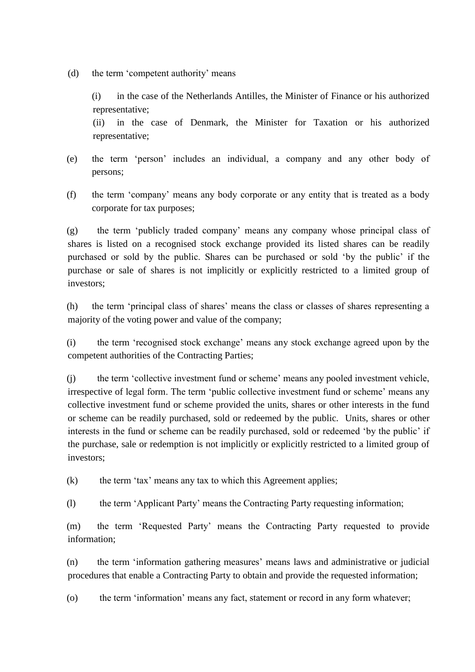(d) the term 'competent authority' means

(i) in the case of the Netherlands Antilles, the Minister of Finance or his authorized representative;

(ii) in the case of Denmark, the Minister for Taxation or his authorized representative;

- (e) the term 'person' includes an individual, a company and any other body of persons;
- (f) the term 'company' means any body corporate or any entity that is treated as a body corporate for tax purposes;

(g) the term 'publicly traded company' means any company whose principal class of shares is listed on a recognised stock exchange provided its listed shares can be readily purchased or sold by the public. Shares can be purchased or sold 'by the public' if the purchase or sale of shares is not implicitly or explicitly restricted to a limited group of investors;

(h) the term 'principal class of shares' means the class or classes of shares representing a majority of the voting power and value of the company;

(i) the term 'recognised stock exchange' means any stock exchange agreed upon by the competent authorities of the Contracting Parties;

(j) the term 'collective investment fund or scheme' means any pooled investment vehicle, irrespective of legal form. The term 'public collective investment fund or scheme' means any collective investment fund or scheme provided the units, shares or other interests in the fund or scheme can be readily purchased, sold or redeemed by the public. Units, shares or other interests in the fund or scheme can be readily purchased, sold or redeemed 'by the public' if the purchase, sale or redemption is not implicitly or explicitly restricted to a limited group of investors;

(k) the term 'tax' means any tax to which this Agreement applies;

(l) the term 'Applicant Party' means the Contracting Party requesting information;

(m) the term 'Requested Party' means the Contracting Party requested to provide information;

(n) the term 'information gathering measures' means laws and administrative or judicial procedures that enable a Contracting Party to obtain and provide the requested information;

(o) the term 'information' means any fact, statement or record in any form whatever;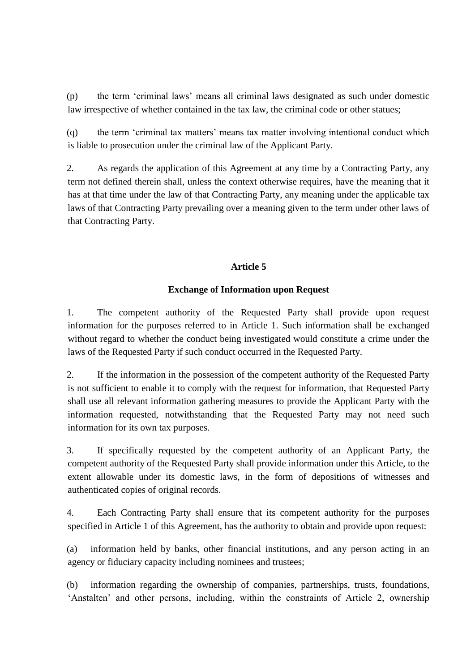(p) the term 'criminal laws' means all criminal laws designated as such under domestic law irrespective of whether contained in the tax law, the criminal code or other statues;

(q) the term 'criminal tax matters' means tax matter involving intentional conduct which is liable to prosecution under the criminal law of the Applicant Party.

2. As regards the application of this Agreement at any time by a Contracting Party, any term not defined therein shall, unless the context otherwise requires, have the meaning that it has at that time under the law of that Contracting Party, any meaning under the applicable tax laws of that Contracting Party prevailing over a meaning given to the term under other laws of that Contracting Party.

# **Article 5**

# **Exchange of Information upon Request**

1. The competent authority of the Requested Party shall provide upon request information for the purposes referred to in Article 1. Such information shall be exchanged without regard to whether the conduct being investigated would constitute a crime under the laws of the Requested Party if such conduct occurred in the Requested Party.

2. If the information in the possession of the competent authority of the Requested Party is not sufficient to enable it to comply with the request for information, that Requested Party shall use all relevant information gathering measures to provide the Applicant Party with the information requested, notwithstanding that the Requested Party may not need such information for its own tax purposes.

3. If specifically requested by the competent authority of an Applicant Party, the competent authority of the Requested Party shall provide information under this Article, to the extent allowable under its domestic laws, in the form of depositions of witnesses and authenticated copies of original records.

4. Each Contracting Party shall ensure that its competent authority for the purposes specified in Article 1 of this Agreement, has the authority to obtain and provide upon request:

(a) information held by banks, other financial institutions, and any person acting in an agency or fiduciary capacity including nominees and trustees;

(b) information regarding the ownership of companies, partnerships, trusts, foundations, 'Anstalten' and other persons, including, within the constraints of Article 2, ownership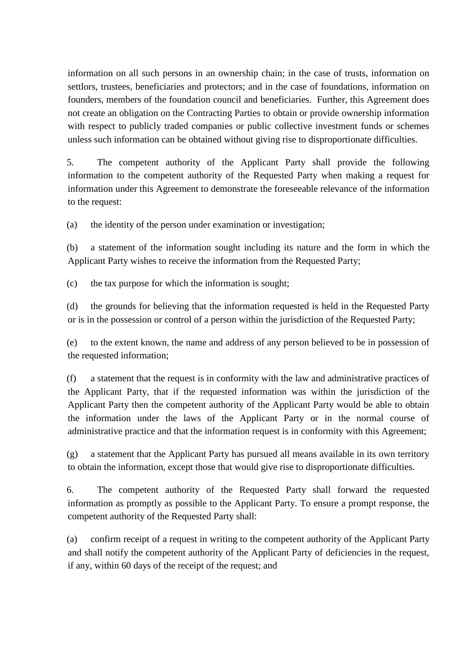information on all such persons in an ownership chain; in the case of trusts, information on settlors, trustees, beneficiaries and protectors; and in the case of foundations, information on founders, members of the foundation council and beneficiaries. Further, this Agreement does not create an obligation on the Contracting Parties to obtain or provide ownership information with respect to publicly traded companies or public collective investment funds or schemes unless such information can be obtained without giving rise to disproportionate difficulties.

5. The competent authority of the Applicant Party shall provide the following information to the competent authority of the Requested Party when making a request for information under this Agreement to demonstrate the foreseeable relevance of the information to the request:

(a) the identity of the person under examination or investigation;

(b) a statement of the information sought including its nature and the form in which the Applicant Party wishes to receive the information from the Requested Party;

(c) the tax purpose for which the information is sought;

(d) the grounds for believing that the information requested is held in the Requested Party or is in the possession or control of a person within the jurisdiction of the Requested Party;

(e) to the extent known, the name and address of any person believed to be in possession of the requested information;

(f) a statement that the request is in conformity with the law and administrative practices of the Applicant Party, that if the requested information was within the jurisdiction of the Applicant Party then the competent authority of the Applicant Party would be able to obtain the information under the laws of the Applicant Party or in the normal course of administrative practice and that the information request is in conformity with this Agreement;

(g) a statement that the Applicant Party has pursued all means available in its own territory to obtain the information, except those that would give rise to disproportionate difficulties.

6. The competent authority of the Requested Party shall forward the requested information as promptly as possible to the Applicant Party. To ensure a prompt response, the competent authority of the Requested Party shall:

(a) confirm receipt of a request in writing to the competent authority of the Applicant Party and shall notify the competent authority of the Applicant Party of deficiencies in the request, if any, within 60 days of the receipt of the request; and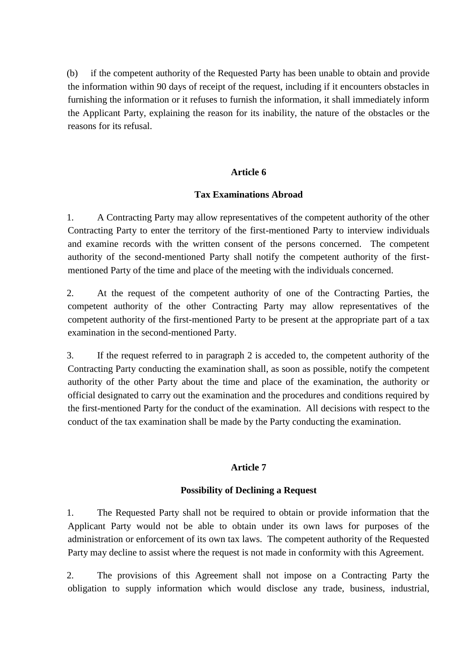(b) if the competent authority of the Requested Party has been unable to obtain and provide the information within 90 days of receipt of the request, including if it encounters obstacles in furnishing the information or it refuses to furnish the information, it shall immediately inform the Applicant Party, explaining the reason for its inability, the nature of the obstacles or the reasons for its refusal.

#### **Article 6**

#### **Tax Examinations Abroad**

1. A Contracting Party may allow representatives of the competent authority of the other Contracting Party to enter the territory of the first-mentioned Party to interview individuals and examine records with the written consent of the persons concerned. The competent authority of the second-mentioned Party shall notify the competent authority of the firstmentioned Party of the time and place of the meeting with the individuals concerned.

2. At the request of the competent authority of one of the Contracting Parties, the competent authority of the other Contracting Party may allow representatives of the competent authority of the first-mentioned Party to be present at the appropriate part of a tax examination in the second-mentioned Party.

3. If the request referred to in paragraph 2 is acceded to, the competent authority of the Contracting Party conducting the examination shall, as soon as possible, notify the competent authority of the other Party about the time and place of the examination, the authority or official designated to carry out the examination and the procedures and conditions required by the first-mentioned Party for the conduct of the examination. All decisions with respect to the conduct of the tax examination shall be made by the Party conducting the examination.

# **Article 7**

# **Possibility of Declining a Request**

1. The Requested Party shall not be required to obtain or provide information that the Applicant Party would not be able to obtain under its own laws for purposes of the administration or enforcement of its own tax laws. The competent authority of the Requested Party may decline to assist where the request is not made in conformity with this Agreement.

2. The provisions of this Agreement shall not impose on a Contracting Party the obligation to supply information which would disclose any trade, business, industrial,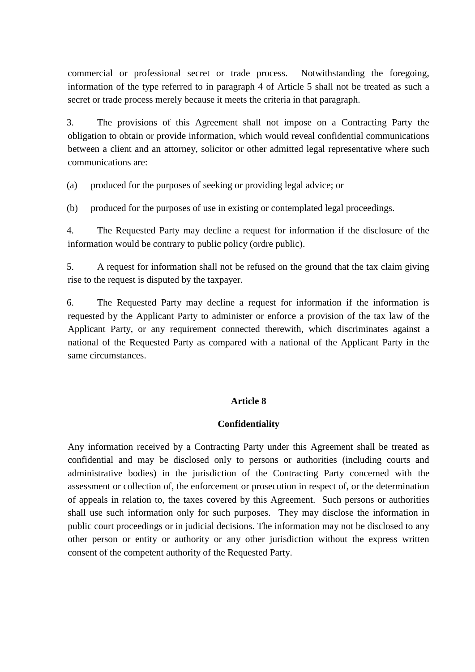commercial or professional secret or trade process. Notwithstanding the foregoing, information of the type referred to in paragraph 4 of Article 5 shall not be treated as such a secret or trade process merely because it meets the criteria in that paragraph.

3. The provisions of this Agreement shall not impose on a Contracting Party the obligation to obtain or provide information, which would reveal confidential communications between a client and an attorney, solicitor or other admitted legal representative where such communications are:

(a) produced for the purposes of seeking or providing legal advice; or

(b) produced for the purposes of use in existing or contemplated legal proceedings.

4. The Requested Party may decline a request for information if the disclosure of the information would be contrary to public policy (ordre public).

5. A request for information shall not be refused on the ground that the tax claim giving rise to the request is disputed by the taxpayer.

6. The Requested Party may decline a request for information if the information is requested by the Applicant Party to administer or enforce a provision of the tax law of the Applicant Party, or any requirement connected therewith, which discriminates against a national of the Requested Party as compared with a national of the Applicant Party in the same circumstances.

# **Article 8**

# **Confidentiality**

Any information received by a Contracting Party under this Agreement shall be treated as confidential and may be disclosed only to persons or authorities (including courts and administrative bodies) in the jurisdiction of the Contracting Party concerned with the assessment or collection of, the enforcement or prosecution in respect of, or the determination of appeals in relation to, the taxes covered by this Agreement. Such persons or authorities shall use such information only for such purposes. They may disclose the information in public court proceedings or in judicial decisions. The information may not be disclosed to any other person or entity or authority or any other jurisdiction without the express written consent of the competent authority of the Requested Party.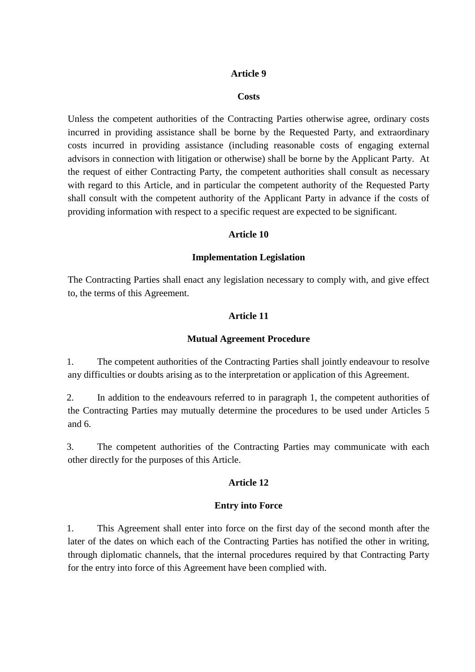#### **Article 9**

#### **Costs**

Unless the competent authorities of the Contracting Parties otherwise agree, ordinary costs incurred in providing assistance shall be borne by the Requested Party, and extraordinary costs incurred in providing assistance (including reasonable costs of engaging external advisors in connection with litigation or otherwise) shall be borne by the Applicant Party. At the request of either Contracting Party, the competent authorities shall consult as necessary with regard to this Article, and in particular the competent authority of the Requested Party shall consult with the competent authority of the Applicant Party in advance if the costs of providing information with respect to a specific request are expected to be significant.

#### **Article 10**

#### **Implementation Legislation**

The Contracting Parties shall enact any legislation necessary to comply with, and give effect to, the terms of this Agreement.

#### **Article 11**

#### **Mutual Agreement Procedure**

1. The competent authorities of the Contracting Parties shall jointly endeavour to resolve any difficulties or doubts arising as to the interpretation or application of this Agreement.

2. In addition to the endeavours referred to in paragraph 1, the competent authorities of the Contracting Parties may mutually determine the procedures to be used under Articles 5 and 6.

3. The competent authorities of the Contracting Parties may communicate with each other directly for the purposes of this Article.

#### **Article 12**

#### **Entry into Force**

1. This Agreement shall enter into force on the first day of the second month after the later of the dates on which each of the Contracting Parties has notified the other in writing, through diplomatic channels, that the internal procedures required by that Contracting Party for the entry into force of this Agreement have been complied with.